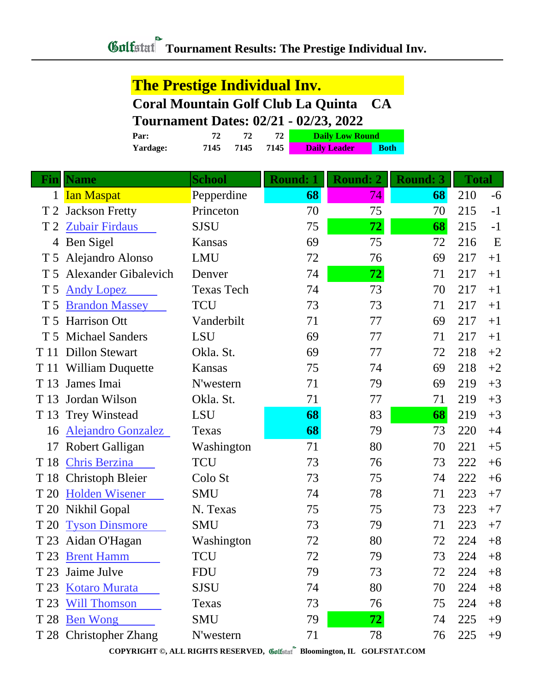## **The Prestige Individual Inv. Coral Mountain Golf Club La Quinta CA**

## **Tournament Dates: 02/21 - 02/23, 2022**

| Par:     | 72   |      |      | <b>Daily Low Round</b> |             |  |
|----------|------|------|------|------------------------|-------------|--|
| Yardage: | 7145 | 7145 | 7145 | <b>Daily Leader</b>    | <b>Both</b> |  |

| Fin            | <b>Name</b>                 | <b>School</b>     | <b>Round: 1</b> | <b>Round: 2</b> | <b>Round: 3</b> | <b>Total</b> |      |
|----------------|-----------------------------|-------------------|-----------------|-----------------|-----------------|--------------|------|
| $\mathbf{1}$   | <b>Ian Maspat</b>           | Pepperdine        | 68              | 74              | 68              | 210          | $-6$ |
| T <sub>2</sub> | <b>Jackson Fretty</b>       | Princeton         | 70              | 75              | 70              | 215          | $-1$ |
| T <sub>2</sub> | <b>Zubair Firdaus</b>       | <b>SJSU</b>       | 75              | 72              | 68              | 215          | $-1$ |
| 4              | Ben Sigel                   | Kansas            | 69              | 75              | 72              | 216          | E    |
| T <sub>5</sub> | Alejandro Alonso            | <b>LMU</b>        | 72              | 76              | 69              | 217          | $+1$ |
| T <sub>5</sub> | <b>Alexander Gibalevich</b> | Denver            | 74              | 72              | 71              | 217          | $+1$ |
| T 5            | <b>Andy Lopez</b>           | <b>Texas Tech</b> | 74              | 73              | 70              | 217          | $+1$ |
| T 5            | <b>Brandon Massey</b>       | <b>TCU</b>        | 73              | 73              | 71              | 217          | $+1$ |
|                | T 5 Harrison Ott            | Vanderbilt        | 71              | 77              | 69              | 217          | $+1$ |
|                | T 5 Michael Sanders         | <b>LSU</b>        | 69              | 77              | 71              | 217          | $+1$ |
| T 11           | <b>Dillon Stewart</b>       | Okla. St.         | 69              | 77              | 72              | 218          | $+2$ |
| T 11           | <b>William Duquette</b>     | Kansas            | 75              | 74              | 69              | 218          | $+2$ |
| T 13           | James Imai                  | N'western         | 71              | 79              | 69              | 219          | $+3$ |
| T 13           | Jordan Wilson               | Okla. St.         | 71              | 77              | 71              | 219          | $+3$ |
| T 13           | <b>Trey Winstead</b>        | LSU               | 68              | 83              | 68              | 219          | $+3$ |
| 16             | <b>Alejandro Gonzalez</b>   | Texas             | 68              | 79              | 73              | 220          | $+4$ |
| 17             | Robert Galligan             | Washington        | 71              | 80              | 70              | 221          | $+5$ |
| T 18           | <b>Chris Berzina</b>        | <b>TCU</b>        | 73              | 76              | 73              | 222          | $+6$ |
| T 18           | <b>Christoph Bleier</b>     | Colo St           | 73              | 75              | 74              | 222          | $+6$ |
| T 20           | <b>Holden Wisener</b>       | <b>SMU</b>        | 74              | 78              | 71              | 223          | $+7$ |
| T 20           | Nikhil Gopal                | N. Texas          | 75              | 75              | 73              | 223          | $+7$ |
| T 20           | <b>Tyson Dinsmore</b>       | <b>SMU</b>        | 73              | 79              | 71              | 223          | $+7$ |
| T 23           | Aidan O'Hagan               | Washington        | 72              | 80              | 72              | 224          | $+8$ |
| T 23           | <b>Brent Hamm</b>           | TCU               | 72              | 79              | 73              | 224          | $+8$ |
| T 23           | Jaime Julve                 | <b>FDU</b>        | 79              | 73              | 72              | 224          | $+8$ |
| T 23           | <b>Kotaro Murata</b>        | <b>SJSU</b>       | 74              | 80              | 70              | 224          | $+8$ |
| T 23           | <b>Will Thomson</b>         | Texas             | 73              | 76              | 75              | 224          | $+8$ |
| T 28           | <b>Ben Wong</b>             | <b>SMU</b>        | 79              | 72              | 74              | 225          | $+9$ |
|                | T 28 Christopher Zhang      | N'western         | 71              | 78              | 76              | 225          | $+9$ |

**COPYRIGHT ©, ALL RIGHTS RESERVED, Bloomington, IL GOLFSTAT.COM**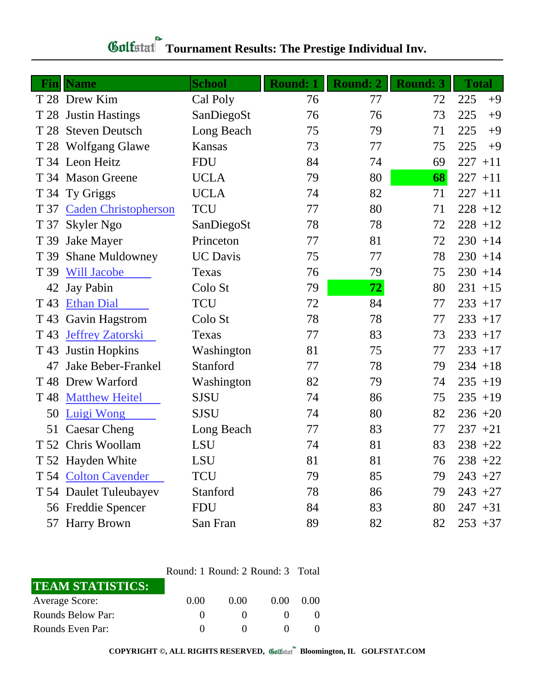| Fin             | <b>Name</b>                 | <b>School</b>   | <b>Round: 1</b> | <b>Round: 2</b> | <b>Round: 3</b> | <b>Total</b> |
|-----------------|-----------------------------|-----------------|-----------------|-----------------|-----------------|--------------|
|                 | T 28 Drew Kim               | Cal Poly        | 76              | 77              | 72              | 225<br>$+9$  |
|                 | T 28 Justin Hastings        | SanDiegoSt      | 76              | 76              | 73              | 225<br>$+9$  |
|                 | T 28 Steven Deutsch         | Long Beach      | 75              | 79              | 71              | 225<br>$+9$  |
|                 | T 28 Wolfgang Glawe         | Kansas          | 73              | 77              | 75              | 225<br>$+9$  |
|                 | T 34 Leon Heitz             | <b>FDU</b>      | 84              | 74              | 69              | 227<br>$+11$ |
|                 | T 34 Mason Greene           | <b>UCLA</b>     | 79              | 80              | 68              | 227<br>$+11$ |
|                 | T 34 Ty Griggs              | <b>UCLA</b>     | 74              | 82              | 71              | 227<br>$+11$ |
| T 37            | <b>Caden Christopherson</b> | <b>TCU</b>      | 77              | 80              | 71              | $228 + 12$   |
| T 37            | Skyler Ngo                  | SanDiegoSt      | 78              | 78              | 72              | $228 + 12$   |
| T 39            | <b>Jake Mayer</b>           | Princeton       | 77              | 81              | 72              | $230 + 14$   |
| T 39            | <b>Shane Muldowney</b>      | <b>UC</b> Davis | 75              | 77              | 78              | $230 + 14$   |
| T 39            | <b>Will Jacobe</b>          | Texas           | 76              | 79              | 75              | $230 + 14$   |
| 42              | <b>Jay Pabin</b>            | Colo St         | 79              | 72              | 80              | $231 + 15$   |
| T 43            | <b>Ethan Dial</b>           | <b>TCU</b>      | 72              | 84              | 77              | $233 + 17$   |
| T 43            | Gavin Hagstrom              | Colo St         | 78              | 78              | 77              | $233 + 17$   |
| T 43            | <b>Jeffrey Zatorski</b>     | Texas           | 77              | 83              | 73              | $233 + 17$   |
| T 43            | <b>Justin Hopkins</b>       | Washington      | 81              | 75              | 77              | $233 + 17$   |
| 47              | Jake Beber-Frankel          | Stanford        | 77              | 78              | 79              | $234 + 18$   |
| T <sub>48</sub> | Drew Warford                | Washington      | 82              | 79              | 74              | $235 + 19$   |
| T <sub>48</sub> | <b>Matthew Heitel</b>       | <b>SJSU</b>     | 74              | 86              | 75              | $235 + 19$   |
| 50              | <b>Luigi Wong</b>           | <b>SJSU</b>     | 74              | 80              | 82              | $236 + 20$   |
| 51              | Caesar Cheng                | Long Beach      | 77              | 83              | 77              | $237 + 21$   |
|                 | T 52 Chris Woollam          | <b>LSU</b>      | 74              | 81              | 83              | $238 + 22$   |
|                 | T 52 Hayden White           | LSU             | 81              | 81              | 76              | $238 +22$    |
|                 | T 54 Colton Cavender        | <b>TCU</b>      | 79              | 85              | 79              | $243 + 27$   |
|                 | T 54 Daulet Tuleubayev      | Stanford        | 78              | 86              | 79              | $243 + 27$   |
|                 | 56 Freddie Spencer          | <b>FDU</b>      | 84              | 83              | 80              | $247 + 31$   |
|                 | 57 Harry Brown              | San Fran        | 89              | 82              | 82              | $253 + 37$   |

## **Gulfatat** Tournament Results: The Prestige Individual Inv.

## Round: 1 Round: 2 Round: 3 Total

| <b>TEAM STATISTICS:</b> |      |      |      |      |
|-------------------------|------|------|------|------|
| <b>Average Score:</b>   | 0.00 | 0.00 | 0.00 | 0.00 |
| Rounds Below Par:       |      |      |      |      |
| Rounds Even Par:        |      |      |      |      |